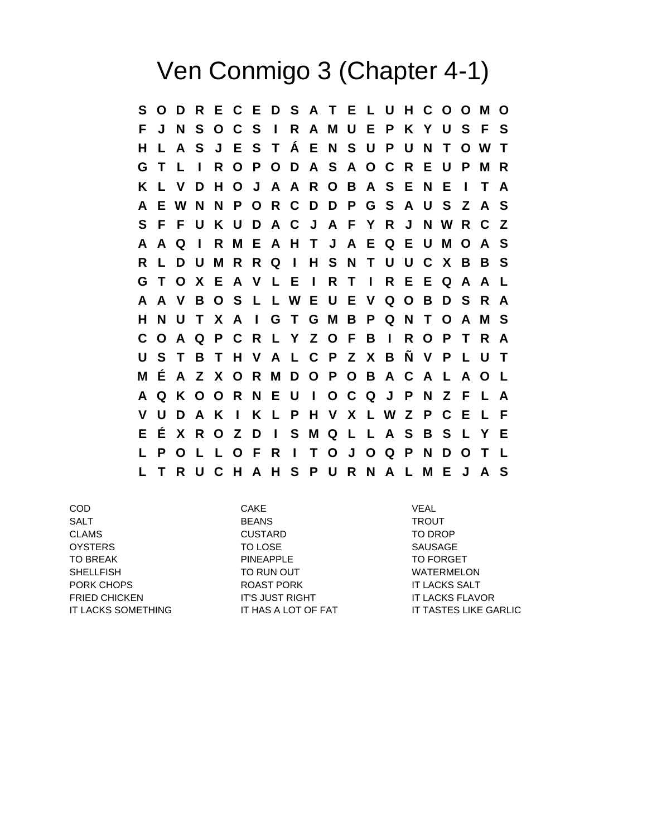## Ven Conmigo 3 (Chapter 4-1)

**S O D R E C E D S A T E L U H C O O M O F J N S O C S I R A M U E P K Y U S F S H L A S J E S T Á E N S U P U N T O W T G T L I R O P O D A S A O C R E U P M R K L V D H O J A A R O B A S E N E I T A A E W N N P O R C D D P G S A U S Z A S S F F U K U D A C J A F Y R J N W R C Z A A Q I R M E A H T J A E Q E U M O A S R L D U M R R Q I H S N T U U C X B B S G T O X E A V L E I R T I R E E Q A A L A A V B O S L L W E U E V Q O B D S R A H N U T X A I G T G M B P Q N T O A M S C O A Q P C R L Y Z O F B I R O P T R A U S T B T H V A L C P Z X B Ñ V P L U T M É A Z X O R M D O P O B A C A L A O L A Q K O O R N E U I O C Q J P N Z F L A V U D A K I K L P H V X L W Z P C E L F E É X R O Z D I S M Q L L A S B S L Y E L P O L L O F R I T O J O Q P N D O T L L T R U C H A H S P U R N A L M E J A S**

COD CAKE VEAL SALT BEANS TROUT CLAMS CUSTARD TO DROP OYSTERS TO LOSE SAUSAGE TO BREAK **PINEAPPLE PINEAPPLE** TO FORGET SHELLFISH TO RUN OUT WATERMELON PORK CHOPS ROAST PORK IT LACKS SALT FRIED CHICKEN IT'S JUST RIGHT IT'S JUST AND IT LACKS FLAVOR

IT LACKS SOMETHING **IT HAS A LOT OF FAT IT TASTES LIKE GARLIC**